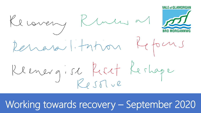Recovery Rumes at 1 Renard litation Reforms Renergisch Reet Rechage

Working towards recovery – September 2020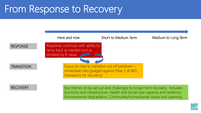# From Response to Recovery



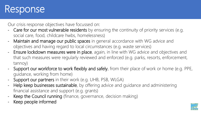# Response

Our crisis response objectives have focussed on:

- Care for our most vulnerable residents by ensuring the continuity of priority services (e.g. social care, food, childcare hwbs, homelessness)
- Maintain and manage our public spaces in general accordance with WG advice and objectives and having regard to local circumstances (e.g. waste services)
- Ensure lockdown measures were in place, again, in line with WG advice and objectives and that such measures were regularly reviewed and enforced (e.g. parks, resorts, enforcement, tannoy)
- Support our workforce to work flexibly and safely, from their place of work or home (e.g. PPE, guidance, working from home)
- Support our partners in their work (e.g. UHB, PSB, WLGA)
- Help keep businesses sustainable, by offering advice and quidance and administering financial assistance and support (e.g. grants)
- Keep the Council running (finance, governance, decision making)
- Keep people informed

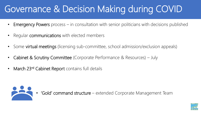# Governance & Decision Making during COVID

- **Emergency Powers** process  $-$  in consultation with senior politicians with decisions published
- Regular **communications** with elected members
- Some virtual meetings (licensing sub-committee, school admission/exclusion appeals)
- Cabinet & Scrutiny Committee (Corporate Performance & Resources) July
- March 23<sup>rd</sup> Cabinet Report contains full details



• 'Gold' command structure – extended Corporate Management Team

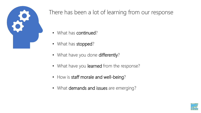

### There has been a lot of learning from our response

- What has continued?
- What has stopped?
- What have you done differently?
- What have you learned from the response?
- How is staff morale and well-being?
- What demands and issues are emerging?

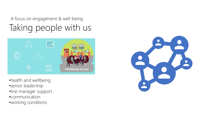### Taking people with us A focus on engagement & well-being



- •health and wellbeing •senior leadership
- •line manager support
- 
- •communication
- •working conditions

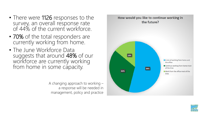- There were 1126 responses to the survey, an overall response rate of 44% of the current workforce.
- 70% of the total responders are currently working from home.
- The June Workforce Data suggests that around 48% of our workforce are currently working from home in some capacity.

A changing approach to working – a response will be needed in management, policy and practice



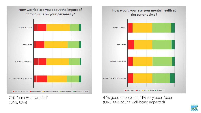

70% "somewhat worried" (ONS, 69%)



47% good or excellent, 11% very poor /poor (ONS 44% adults' well -being impacted)

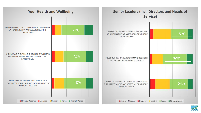

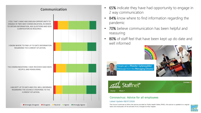

- 65% indicate they have had opportunity to engage in 2 way communication
- 84% know where to find information regarding the pandemic
- 70% believe communication has been helpful and reassuring
- 80% of staff feel that have been kept up do date and well informed





Neges gan y Rheolwr Gyfarwyddwr Message from the Managing Director



#### Coronavirus: Advice for all employees

#### Latest Update 08/07/2020

The Council continues to follow the advice provided by Public Health Wales (PHW); this advice is updated on a regular basis and employees will be advised of any changes as they happen

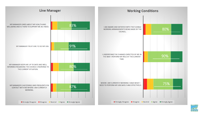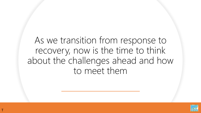## As we transition from response to recovery, now is the time to think about the challenges ahead and how to meet them

T

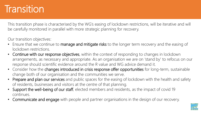# **Transition**

This transition phase is characterised by the WG's easing of lockdown restrictions, will be iterative and will be carefully monitored in parallel with more strategic planning for recovery.

Our transition objectives:

- Ensure that we continue to manage and mitigate risks to the longer term recovery and the easing of lockdown restrictions.
- Continue with our response objectives, within the context of responding to changes in lockdown arrangements, as necessary and appropriate. As an organisation we are on 'stand by' to refocus on our response should scientific evidence around the R value and WG advice demand it.
- Consider how the changes introduced in crisis response offer opportunities for long-term, sustainable change both of our organisation and the communities we serve.
- Prepare and plan our services and public spaces for the easing of lockdown with the health and safety of residents, businesses and visitors at the centre of that planning.
- Support the well-being of our staff, elected members and residents, as the impact of covid 19 continues.
- Communicate and engage with people and partner organisations in the design of our recovery.

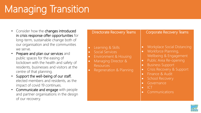# Managing Transition

- Consider how the changes introduced in crisis response offer opportunities for long-term, sustainable change both of our organisation and the communities we serve.
- Prepare and plan our services and public spaces for the easing of lockdown with the health and safety of residents, businesses and visitors at the centre of that planning.
- Support the well-being of our staff, elected members and residents, as the impact of covid 19 continues.
- Communicate and engage with people and partner organisations in the design of our recovery.

| <b>Directorate Recovery Teams</b>                                                                                                                                                                               | <b>Corporate Recovery Teams</b>                                                                                                                                                                                                                                                                                                                                                           |
|-----------------------------------------------------------------------------------------------------------------------------------------------------------------------------------------------------------------|-------------------------------------------------------------------------------------------------------------------------------------------------------------------------------------------------------------------------------------------------------------------------------------------------------------------------------------------------------------------------------------------|
| Learning & Skills<br>$\bullet$<br>Social Services<br>$\bullet$<br><b>Environment &amp; Housing</b><br>$\bullet$<br>Managing Director &<br>$\bullet$<br><b>Resources</b><br>Regeneration & Planning<br>$\bullet$ | Workplace Social Distancing<br>$\bullet$<br>Workforce Planning,<br>$\bullet$<br>Wellbeing & Engagement<br>Public Area Re-opening<br>$\bullet$<br><b>Business Support</b><br>$\bullet$<br>Crisis Recovery & Support<br>$\bullet$<br>Finance & Audit<br>$\bullet$<br><b>School Recovery</b><br>$\bullet$<br>Governance<br>$\bullet$<br>$\vert \vert$ $\vert$<br>$\bullet$<br>Communications |

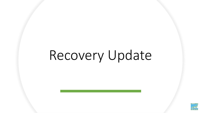# Recovery Update

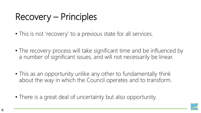# Recovery – Principles

- This is not 'recovery' to a previous state for all services.
- The recovery process will take significant time and be influenced by a number of significant issues, and will not necessarily be linear.
- This as an opportunity unlike any other to fundamentally think about the way in which the Council operates and to transform.
- There is a great deal of uncertainty but also opportunity.

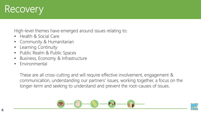

High-level themes have emerged around issues relating to:

- Health & Social Care
- Community & Humanitarian
- Learning Continuity
- Public Realm & Public Spaces
- Business, Economy & Infrastructure
- Environmental

These are all cross-cutting and will require effective involvement, engagement & communication, understanding our partners' issues, working together, a focus on the longer-term and seeking to understand and prevent the root-causes of issues.



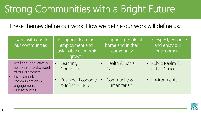# Strong Communities with a Bright Future

These themes define our work. How we define our work will define us.

| To work with and for<br>our communities                                                    | To support learning,<br>employment and<br>sustainable economic<br>growth | To support people at<br>home and in their<br>community | To respect, enhance<br>and enjoy our<br>environment |
|--------------------------------------------------------------------------------------------|--------------------------------------------------------------------------|--------------------------------------------------------|-----------------------------------------------------|
| • Resilient, innovative &<br>responsive to the needs<br>of our customers.                  | Learning<br>$\bullet$<br>Continuity                                      | • Health & Social<br>Care                              | • Public Realm &<br><b>Public Spaces</b>            |
| Involvement,<br>$\bullet$<br>communication &<br>engagement.<br>Our resources.<br>$\bullet$ | Business, Economy<br>$\bullet$<br>& Infrastructure                       | Community &<br>$\bullet$<br>Humanitarian               | • Environmental                                     |

T

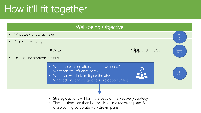# How it'll fit together

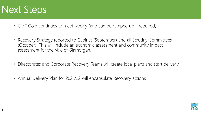

T

- CMT Gold continues to meet weekly (and can be ramped up if required)
- Recovery Strategy reported to Cabinet (September) and all Scrutiny Committees (October). This will include an economic assessment and community impact assessment for the Vale of Glamorgan.
- Directorates and Corporate Recovery Teams will create local plans and start delivery
- Annual Delivery Plan for 2021/22 will encapsulate Recovery actions